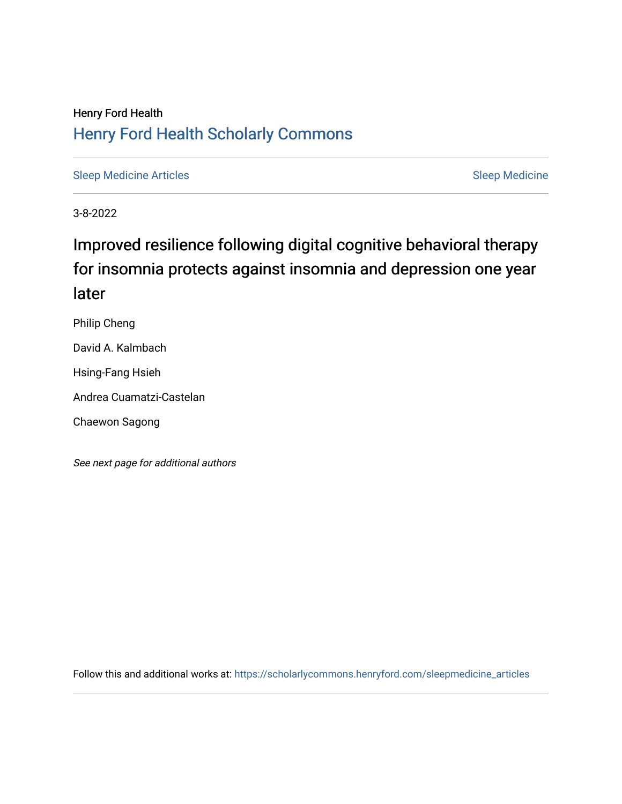## Henry Ford Health [Henry Ford Health Scholarly Commons](https://scholarlycommons.henryford.com/)

[Sleep Medicine Articles](https://scholarlycommons.henryford.com/sleepmedicine_articles) **Sleep Medicine** Sleep Medicine

3-8-2022

# Improved resilience following digital cognitive behavioral therapy for insomnia protects against insomnia and depression one year later

Philip Cheng

David A. Kalmbach

Hsing-Fang Hsieh

Andrea Cuamatzi-Castelan

Chaewon Sagong

See next page for additional authors

Follow this and additional works at: [https://scholarlycommons.henryford.com/sleepmedicine\\_articles](https://scholarlycommons.henryford.com/sleepmedicine_articles?utm_source=scholarlycommons.henryford.com%2Fsleepmedicine_articles%2F160&utm_medium=PDF&utm_campaign=PDFCoverPages)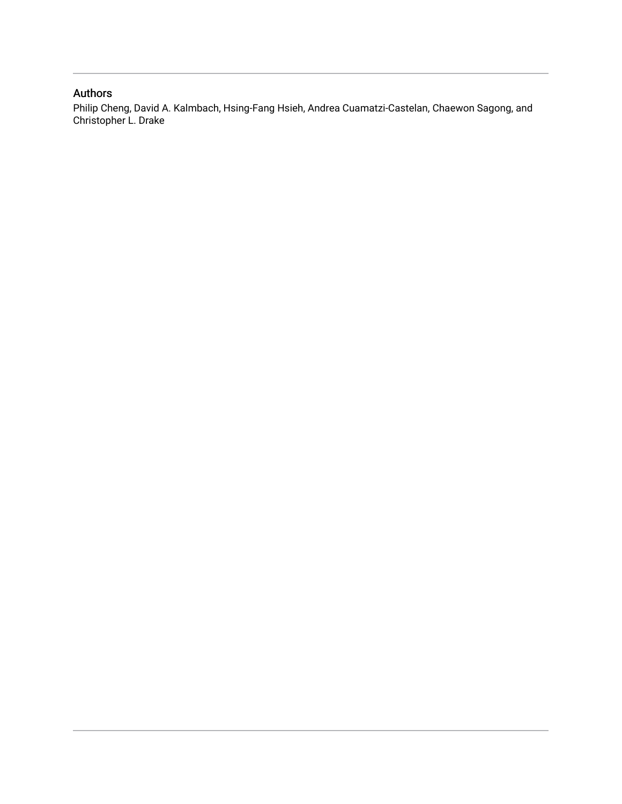### Authors

Philip Cheng, David A. Kalmbach, Hsing-Fang Hsieh, Andrea Cuamatzi-Castelan, Chaewon Sagong, and Christopher L. Drake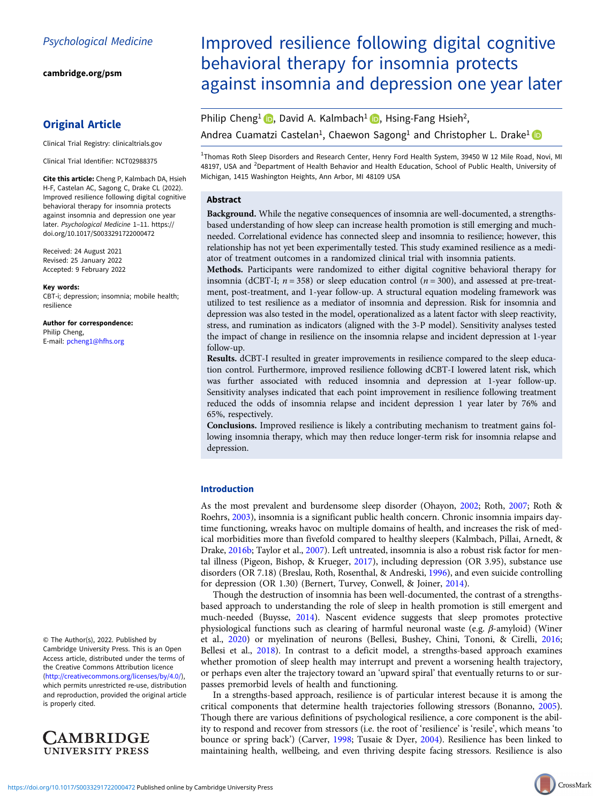[cambridge.org/psm](https://www.cambridge.org/psm)

### Original Article

Clinical Trial Registry: clinicaltrials.gov

Clinical Trial Identifier: NCT02988375

Cite this article: Cheng P, Kalmbach DA, Hsieh H-F, Castelan AC, Sagong C, Drake CL (2022). Improved resilience following digital cognitive behavioral therapy for insomnia protects against insomnia and depression one year later. Psychological Medicine 1–11. [https://](https://doi.org/10.1017/S0033291722000472) [doi.org/10.1017/S0033291722000472](https://doi.org/10.1017/S0033291722000472)

Received: 24 August 2021 Revised: 25 January 2022 Accepted: 9 February 2022

#### Key words:

CBT-i; depression; insomnia; mobile health; resilience

Author for correspondence: Philip Cheng, E-mail: [pcheng1@hfhs.org](mailto:pcheng1@hfhs.org)

#### © The Author(s), 2022. Published by Cambridge University Press. This is an Open Access article, distributed under the terms of the Creative Commons Attribution licence ([http://creativecommons.org/licenses/by/4.0/\)](http://creativecommons.org/licenses/by/4.0/), which permits unrestricted re-use, distribution and reproduction, provided the original article is properly cited.



## Improved resilience following digital cognitive behavioral therapy for insomnia protects against insomnia and depression one year later

Philip Cheng<sup>1</sup> **D**[,](https://orcid.org/0000-0003-3107-0522) David A. Kalmbach<sup>1</sup> **D**, Hsing-Fang Hsieh<sup>2</sup>, Andrea Cuamatzi Castelan<sup>1</sup>, Chaewon Sagong<sup>1</sup> and Christopher L. Drake<sup>1</sup>

<sup>1</sup>Thomas Roth Sleep Disorders and Research Center, Henry Ford Health System, 39450 W 12 Mile Road, Novi, MI 48197, USA and <sup>2</sup>Department of Health Behavior and Health Education, School of Public Health, University of Michigan, 1415 Washington Heights, Ann Arbor, MI 48109 USA

#### Abstract

Background. While the negative consequences of insomnia are well-documented, a strengthsbased understanding of how sleep can increase health promotion is still emerging and muchneeded. Correlational evidence has connected sleep and insomnia to resilience; however, this relationship has not yet been experimentally tested. This study examined resilience as a mediator of treatment outcomes in a randomized clinical trial with insomnia patients.

Methods. Participants were randomized to either digital cognitive behavioral therapy for insomnia (dCBT-I;  $n = 358$ ) or sleep education control ( $n = 300$ ), and assessed at pre-treatment, post-treatment, and 1-year follow-up. A structural equation modeling framework was utilized to test resilience as a mediator of insomnia and depression. Risk for insomnia and depression was also tested in the model, operationalized as a latent factor with sleep reactivity, stress, and rumination as indicators (aligned with the 3-P model). Sensitivity analyses tested the impact of change in resilience on the insomnia relapse and incident depression at 1-year follow-up.

Results. dCBT-I resulted in greater improvements in resilience compared to the sleep education control. Furthermore, improved resilience following dCBT-I lowered latent risk, which was further associated with reduced insomnia and depression at 1-year follow-up. Sensitivity analyses indicated that each point improvement in resilience following treatment reduced the odds of insomnia relapse and incident depression 1 year later by 76% and 65%, respectively.

Conclusions. Improved resilience is likely a contributing mechanism to treatment gains following insomnia therapy, which may then reduce longer-term risk for insomnia relapse and depression.

#### Introduction

As the most prevalent and burdensome sleep disorder (Ohayon, [2002;](#page-11-0) Roth, [2007;](#page-11-0) Roth & Roehrs, [2003\)](#page-11-0), insomnia is a significant public health concern. Chronic insomnia impairs daytime functioning, wreaks havoc on multiple domains of health, and increases the risk of medical morbidities more than fivefold compared to healthy sleepers (Kalmbach, Pillai, Arnedt, & Drake, [2016b;](#page-11-0) Taylor et al., [2007](#page-11-0)). Left untreated, insomnia is also a robust risk factor for mental illness (Pigeon, Bishop, & Krueger, [2017](#page-11-0)), including depression (OR 3.95), substance use disorders (OR 7.18) (Breslau, Roth, Rosenthal, & Andreski, [1996\)](#page-10-0), and even suicide controlling for depression (OR 1.30) (Bernert, Turvey, Conwell, & Joiner, [2014\)](#page-9-0).

Though the destruction of insomnia has been well-documented, the contrast of a strengthsbased approach to understanding the role of sleep in health promotion is still emergent and much-needed (Buysse, [2014\)](#page-10-0). Nascent evidence suggests that sleep promotes protective physiological functions such as clearing of harmful neuronal waste (e.g. β-amyloid) (Winer et al., [2020\)](#page-12-0) or myelination of neurons (Bellesi, Bushey, Chini, Tononi, & Cirelli, [2016](#page-9-0); Bellesi et al., [2018\)](#page-9-0). In contrast to a deficit model, a strengths-based approach examines whether promotion of sleep health may interrupt and prevent a worsening health trajectory, or perhaps even alter the trajectory toward an 'upward spiral' that eventually returns to or surpasses premorbid levels of health and functioning.

In a strengths-based approach, resilience is of particular interest because it is among the critical components that determine health trajectories following stressors (Bonanno, [2005](#page-10-0)). Though there are various definitions of psychological resilience, a core component is the ability to respond and recover from stressors (i.e. the root of 'resilience' is 'resile', which means 'to bounce or spring back') (Carver, [1998](#page-10-0); Tusaie & Dyer, [2004\)](#page-11-0). Resilience has been linked to maintaining health, wellbeing, and even thriving despite facing stressors. Resilience is also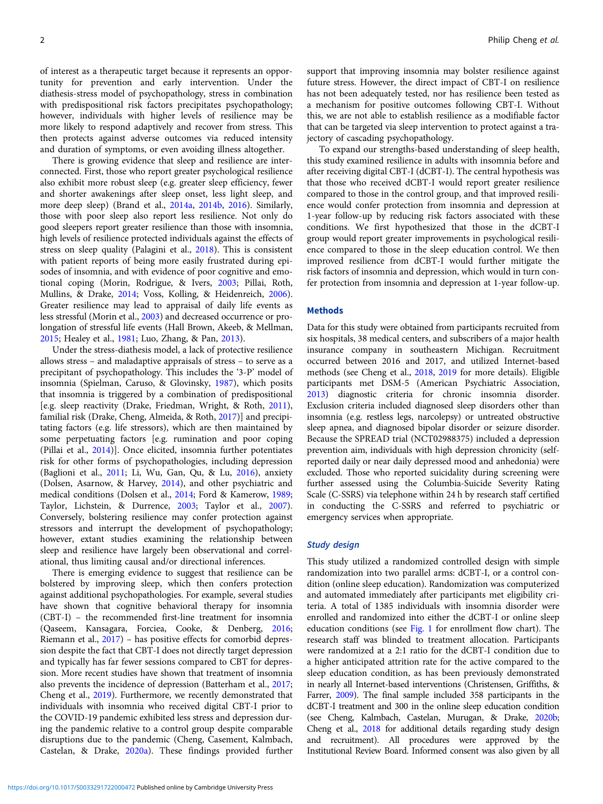of interest as a therapeutic target because it represents an opportunity for prevention and early intervention. Under the diathesis-stress model of psychopathology, stress in combination with predispositional risk factors precipitates psychopathology; however, individuals with higher levels of resilience may be more likely to respond adaptively and recover from stress. This then protects against adverse outcomes via reduced intensity and duration of symptoms, or even avoiding illness altogether.

There is growing evidence that sleep and resilience are interconnected. First, those who report greater psychological resilience also exhibit more robust sleep (e.g. greater sleep efficiency, fewer and shorter awakenings after sleep onset, less light sleep, and more deep sleep) (Brand et al., [2014a](#page-10-0), [2014b](#page-10-0), [2016\)](#page-10-0). Similarly, those with poor sleep also report less resilience. Not only do good sleepers report greater resilience than those with insomnia, high levels of resilience protected individuals against the effects of stress on sleep quality (Palagini et al., [2018](#page-11-0)). This is consistent with patient reports of being more easily frustrated during episodes of insomnia, and with evidence of poor cognitive and emotional coping (Morin, Rodrigue, & Ivers, [2003;](#page-11-0) Pillai, Roth, Mullins, & Drake, [2014;](#page-11-0) Voss, Kolling, & Heidenreich, [2006\)](#page-12-0). Greater resilience may lead to appraisal of daily life events as less stressful (Morin et al., [2003\)](#page-11-0) and decreased occurrence or prolongation of stressful life events (Hall Brown, Akeeb, & Mellman, [2015;](#page-10-0) Healey et al., [1981](#page-10-0); Luo, Zhang, & Pan, [2013\)](#page-11-0).

Under the stress-diathesis model, a lack of protective resilience allows stress – and maladaptive appraisals of stress – to serve as a precipitant of psychopathology. This includes the '3-P' model of insomnia (Spielman, Caruso, & Glovinsky, [1987\)](#page-11-0), which posits that insomnia is triggered by a combination of predispositional [e.g. sleep reactivity (Drake, Friedman, Wright, & Roth, [2011\)](#page-10-0), familial risk (Drake, Cheng, Almeida, & Roth, [2017](#page-10-0))] and precipitating factors (e.g. life stressors), which are then maintained by some perpetuating factors [e.g. rumination and poor coping (Pillai et al., [2014](#page-11-0))]. Once elicited, insomnia further potentiates risk for other forms of psychopathologies, including depression (Baglioni et al., [2011](#page-9-0); Li, Wu, Gan, Qu, & Lu, [2016\)](#page-11-0), anxiety (Dolsen, Asarnow, & Harvey, [2014\)](#page-10-0), and other psychiatric and medical conditions (Dolsen et al., [2014;](#page-10-0) Ford & Kamerow, [1989](#page-10-0); Taylor, Lichstein, & Durrence, [2003](#page-11-0); Taylor et al., [2007\)](#page-11-0). Conversely, bolstering resilience may confer protection against stressors and interrupt the development of psychopathology; however, extant studies examining the relationship between sleep and resilience have largely been observational and correlational, thus limiting causal and/or directional inferences.

There is emerging evidence to suggest that resilience can be bolstered by improving sleep, which then confers protection against additional psychopathologies. For example, several studies have shown that cognitive behavioral therapy for insomnia (CBT-I) – the recommended first-line treatment for insomnia (Qaseem, Kansagara, Forciea, Cooke, & Denberg, [2016](#page-11-0); Riemann et al., [2017\)](#page-11-0) – has positive effects for comorbid depression despite the fact that CBT-I does not directly target depression and typically has far fewer sessions compared to CBT for depression. More recent studies have shown that treatment of insomnia also prevents the incidence of depression (Batterham et al., [2017](#page-9-0); Cheng et al., [2019](#page-10-0)). Furthermore, we recently demonstrated that individuals with insomnia who received digital CBT-I prior to the COVID-19 pandemic exhibited less stress and depression during the pandemic relative to a control group despite comparable disruptions due to the pandemic (Cheng, Casement, Kalmbach, Castelan, & Drake, [2020a](#page-10-0)). These findings provided further

support that improving insomnia may bolster resilience against future stress. However, the direct impact of CBT-I on resilience has not been adequately tested, nor has resilience been tested as a mechanism for positive outcomes following CBT-I. Without this, we are not able to establish resilience as a modifiable factor that can be targeted via sleep intervention to protect against a trajectory of cascading psychopathology.

To expand our strengths-based understanding of sleep health, this study examined resilience in adults with insomnia before and after receiving digital CBT-I (dCBT-I). The central hypothesis was that those who received dCBT-I would report greater resilience compared to those in the control group, and that improved resilience would confer protection from insomnia and depression at 1-year follow-up by reducing risk factors associated with these conditions. We first hypothesized that those in the dCBT-I group would report greater improvements in psychological resilience compared to those in the sleep education control. We then improved resilience from dCBT-I would further mitigate the risk factors of insomnia and depression, which would in turn confer protection from insomnia and depression at 1-year follow-up.

#### **Methods**

Data for this study were obtained from participants recruited from six hospitals, 38 medical centers, and subscribers of a major health insurance company in southeastern Michigan. Recruitment occurred between 2016 and 2017, and utilized Internet-based methods (see Cheng et al., [2018,](#page-10-0) [2019](#page-10-0) for more details). Eligible participants met DSM-5 (American Psychiatric Association, [2013](#page-9-0)) diagnostic criteria for chronic insomnia disorder. Exclusion criteria included diagnosed sleep disorders other than insomnia (e.g. restless legs, narcolepsy) or untreated obstructive sleep apnea, and diagnosed bipolar disorder or seizure disorder. Because the SPREAD trial (NCT02988375) included a depression prevention aim, individuals with high depression chronicity (selfreported daily or near daily depressed mood and anhedonia) were excluded. Those who reported suicidality during screening were further assessed using the Columbia-Suicide Severity Rating Scale (C-SSRS) via telephone within 24 h by research staff certified in conducting the C-SSRS and referred to psychiatric or emergency services when appropriate.

#### Study design

This study utilized a randomized controlled design with simple randomization into two parallel arms: dCBT-I, or a control condition (online sleep education). Randomization was computerized and automated immediately after participants met eligibility criteria. A total of 1385 individuals with insomnia disorder were enrolled and randomized into either the dCBT-I or online sleep education conditions (see [Fig. 1](#page-4-0) for enrollment flow chart). The research staff was blinded to treatment allocation. Participants were randomized at a 2:1 ratio for the dCBT-I condition due to a higher anticipated attrition rate for the active compared to the sleep education condition, as has been previously demonstrated in nearly all Internet-based interventions (Christensen, Griffiths, & Farrer, [2009](#page-10-0)). The final sample included 358 participants in the dCBT-I treatment and 300 in the online sleep education condition (see Cheng, Kalmbach, Castelan, Murugan, & Drake, [2020b;](#page-10-0) Cheng et al., [2018](#page-10-0) for additional details regarding study design and recruitment). All procedures were approved by the Institutional Review Board. Informed consent was also given by all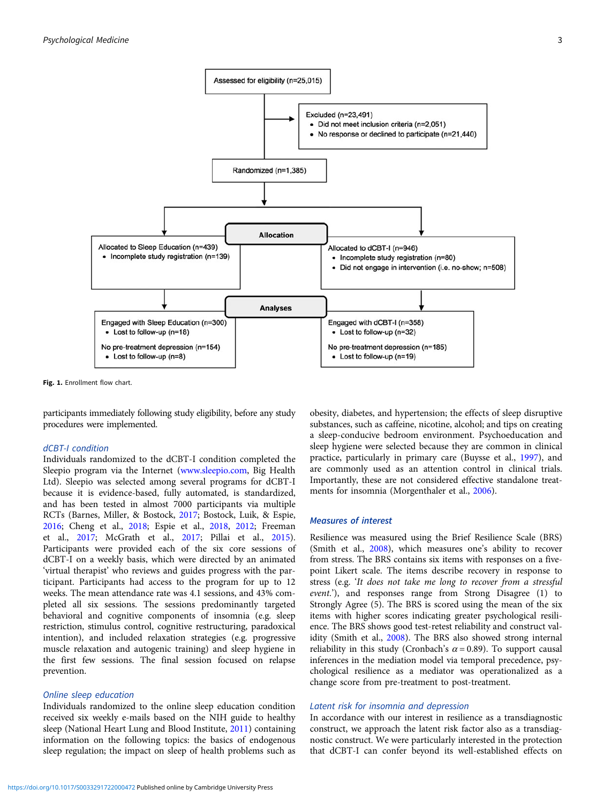<span id="page-4-0"></span>

Fig. 1. Enrollment flow chart.

participants immediately following study eligibility, before any study procedures were implemented.

#### dCBT-I condition

Individuals randomized to the dCBT-I condition completed the Sleepio program via the Internet [\(www.sleepio.com](https://www.sleepio.com), Big Health Ltd). Sleepio was selected among several programs for dCBT-I because it is evidence-based, fully automated, is standardized, and has been tested in almost 7000 participants via multiple RCTs (Barnes, Miller, & Bostock, [2017](#page-9-0); Bostock, Luik, & Espie, [2016;](#page-10-0) Cheng et al., [2018](#page-10-0); Espie et al., [2018](#page-10-0), [2012](#page-10-0); Freeman et al., [2017](#page-10-0); McGrath et al., [2017;](#page-11-0) Pillai et al., [2015\)](#page-11-0). Participants were provided each of the six core sessions of dCBT-I on a weekly basis, which were directed by an animated 'virtual therapist' who reviews and guides progress with the participant. Participants had access to the program for up to 12 weeks. The mean attendance rate was 4.1 sessions, and 43% completed all six sessions. The sessions predominantly targeted behavioral and cognitive components of insomnia (e.g. sleep restriction, stimulus control, cognitive restructuring, paradoxical intention), and included relaxation strategies (e.g. progressive muscle relaxation and autogenic training) and sleep hygiene in the first few sessions. The final session focused on relapse prevention.

#### Online sleep education

Individuals randomized to the online sleep education condition received six weekly e-mails based on the NIH guide to healthy sleep (National Heart Lung and Blood Institute, [2011\)](#page-11-0) containing information on the following topics: the basics of endogenous sleep regulation; the impact on sleep of health problems such as obesity, diabetes, and hypertension; the effects of sleep disruptive substances, such as caffeine, nicotine, alcohol; and tips on creating a sleep-conducive bedroom environment. Psychoeducation and sleep hygiene were selected because they are common in clinical practice, particularly in primary care (Buysse et al., [1997\)](#page-10-0), and are commonly used as an attention control in clinical trials. Importantly, these are not considered effective standalone treatments for insomnia (Morgenthaler et al., [2006\)](#page-11-0).

#### Measures of interest

Resilience was measured using the Brief Resilience Scale (BRS) (Smith et al., [2008](#page-11-0)), which measures one's ability to recover from stress. The BRS contains six items with responses on a fivepoint Likert scale. The items describe recovery in response to stress (e.g. 'It does not take me long to recover from a stressful event.'), and responses range from Strong Disagree (1) to Strongly Agree (5). The BRS is scored using the mean of the six items with higher scores indicating greater psychological resilience. The BRS shows good test-retest reliability and construct validity (Smith et al., [2008](#page-11-0)). The BRS also showed strong internal reliability in this study (Cronbach's  $\alpha$  = 0.89). To support causal inferences in the mediation model via temporal precedence, psychological resilience as a mediator was operationalized as a change score from pre-treatment to post-treatment.

#### Latent risk for insomnia and depression

In accordance with our interest in resilience as a transdiagnostic construct, we approach the latent risk factor also as a transdiagnostic construct. We were particularly interested in the protection that dCBT-I can confer beyond its well-established effects on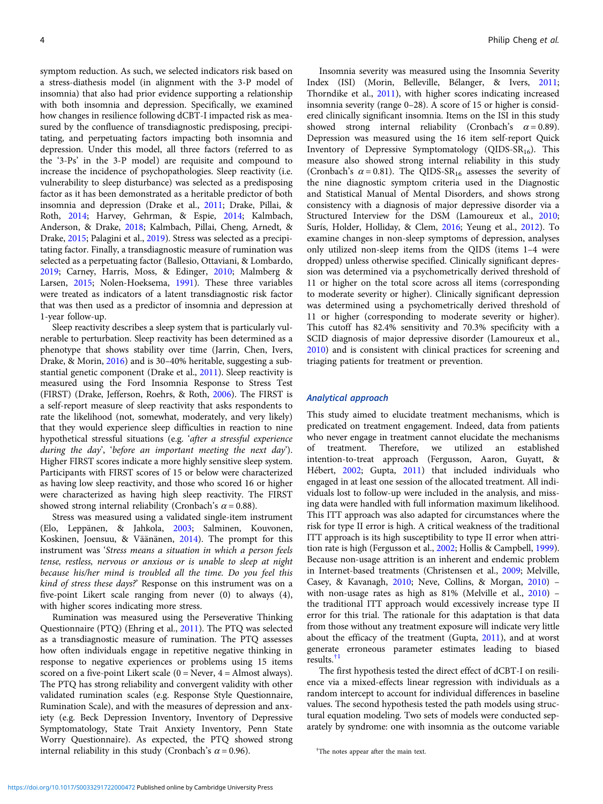symptom reduction. As such, we selected indicators risk based on a stress-diathesis model (in alignment with the 3-P model of insomnia) that also had prior evidence supporting a relationship with both insomnia and depression. Specifically, we examined how changes in resilience following dCBT-I impacted risk as measured by the confluence of transdiagnostic predisposing, precipitating, and perpetuating factors impacting both insomnia and depression. Under this model, all three factors (referred to as the '3-Ps' in the 3-P model) are requisite and compound to increase the incidence of psychopathologies. Sleep reactivity (i.e. vulnerability to sleep disturbance) was selected as a predisposing factor as it has been demonstrated as a heritable predictor of both insomnia and depression (Drake et al., [2011;](#page-10-0) Drake, Pillai, & Roth, [2014;](#page-10-0) Harvey, Gehrman, & Espie, [2014](#page-10-0); Kalmbach, Anderson, & Drake, [2018;](#page-10-0) Kalmbach, Pillai, Cheng, Arnedt, & Drake, [2015](#page-11-0); Palagini et al., [2019](#page-11-0)). Stress was selected as a precipitating factor. Finally, a transdiagnostic measure of rumination was selected as a perpetuating factor (Ballesio, Ottaviani, & Lombardo, [2019;](#page-9-0) Carney, Harris, Moss, & Edinger, [2010](#page-10-0); Malmberg & Larsen, [2015](#page-11-0); Nolen-Hoeksema, [1991\)](#page-11-0). These three variables were treated as indicators of a latent transdiagnostic risk factor that was then used as a predictor of insomnia and depression at 1-year follow-up.

Sleep reactivity describes a sleep system that is particularly vulnerable to perturbation. Sleep reactivity has been determined as a phenotype that shows stability over time (Jarrin, Chen, Ivers, Drake, & Morin, [2016](#page-10-0)) and is 30–40% heritable, suggesting a substantial genetic component (Drake et al., [2011](#page-10-0)). Sleep reactivity is measured using the Ford Insomnia Response to Stress Test (FIRST) (Drake, Jefferson, Roehrs, & Roth, [2006](#page-10-0)). The FIRST is a self-report measure of sleep reactivity that asks respondents to rate the likelihood (not, somewhat, moderately, and very likely) that they would experience sleep difficulties in reaction to nine hypothetical stressful situations (e.g. 'after a stressful experience during the day', 'before an important meeting the next day'). Higher FIRST scores indicate a more highly sensitive sleep system. Participants with FIRST scores of 15 or below were characterized as having low sleep reactivity, and those who scored 16 or higher were characterized as having high sleep reactivity. The FIRST showed strong internal reliability (Cronbach's  $\alpha$  = 0.88).

Stress was measured using a validated single-item instrument (Elo, Leppänen, & Jahkola, [2003](#page-10-0); Salminen, Kouvonen, Koskinen, Joensuu, & Väänänen, [2014\)](#page-11-0). The prompt for this instrument was 'Stress means a situation in which a person feels tense, restless, nervous or anxious or is unable to sleep at night because his/her mind is troubled all the time. Do you feel this kind of stress these days?' Response on this instrument was on a five-point Likert scale ranging from never (0) to always (4), with higher scores indicating more stress.

Rumination was measured using the Perseverative Thinking Questionnaire (PTQ) (Ehring et al., [2011](#page-10-0)). The PTQ was selected as a transdiagnostic measure of rumination. The PTQ assesses how often individuals engage in repetitive negative thinking in response to negative experiences or problems using 15 items scored on a five-point Likert scale  $(0 = \text{Never}, 4 = \text{Almost always}).$ The PTQ has strong reliability and convergent validity with other validated rumination scales (e.g. Response Style Questionnaire, Rumination Scale), and with the measures of depression and anxiety (e.g. Beck Depression Inventory, Inventory of Depressive Symptomatology, State Trait Anxiety Inventory, Penn State Worry Questionnaire). As expected, the PTQ showed strong internal reliability in this study (Cronbach's  $\alpha$  = 0.96).

Insomnia severity was measured using the Insomnia Severity Index (ISI) (Morin, Belleville, Bélanger, & Ivers, [2011;](#page-11-0) Thorndike et al., [2011\)](#page-11-0), with higher scores indicating increased insomnia severity (range 0–28). A score of 15 or higher is considered clinically significant insomnia. Items on the ISI in this study showed strong internal reliability (Cronbach's  $\alpha = 0.89$ ). Depression was measured using the 16 item self-report Quick Inventory of Depressive Symptomatology (QIDS- $SR_{16}$ ). This measure also showed strong internal reliability in this study (Cronbach's  $\alpha$  = 0.81). The QIDS-SR<sub>16</sub> assesses the severity of the nine diagnostic symptom criteria used in the Diagnostic and Statistical Manual of Mental Disorders, and shows strong consistency with a diagnosis of major depressive disorder via a Structured Interview for the DSM (Lamoureux et al., [2010;](#page-11-0) Surís, Holder, Holliday, & Clem, [2016;](#page-11-0) Yeung et al., [2012\)](#page-12-0). To examine changes in non-sleep symptoms of depression, analyses only utilized non-sleep items from the QIDS (items 1–4 were dropped) unless otherwise specified. Clinically significant depression was determined via a psychometrically derived threshold of 11 or higher on the total score across all items (corresponding to moderate severity or higher). Clinically significant depression was determined using a psychometrically derived threshold of 11 or higher (corresponding to moderate severity or higher). This cutoff has 82.4% sensitivity and 70.3% specificity with a SCID diagnosis of major depressive disorder (Lamoureux et al., [2010\)](#page-11-0) and is consistent with clinical practices for screening and triaging patients for treatment or prevention.

#### Analytical approach

This study aimed to elucidate treatment mechanisms, which is predicated on treatment engagement. Indeed, data from patients who never engage in treatment cannot elucidate the mechanisms of treatment. Therefore, we utilized an established intention-to-treat approach (Fergusson, Aaron, Guyatt, & Hébert, [2002;](#page-10-0) Gupta, [2011](#page-10-0)) that included individuals who engaged in at least one session of the allocated treatment. All individuals lost to follow-up were included in the analysis, and missing data were handled with full information maximum likelihood. This ITT approach was also adapted for circumstances where the risk for type II error is high. A critical weakness of the traditional ITT approach is its high susceptibility to type II error when attrition rate is high (Fergusson et al., [2002;](#page-10-0) Hollis & Campbell, [1999](#page-10-0)). Because non-usage attrition is an inherent and endemic problem in Internet-based treatments (Christensen et al., [2009](#page-10-0); Melville, Casey, & Kavanagh, [2010](#page-11-0); Neve, Collins, & Morgan, [2010\)](#page-11-0) – with non-usage rates as high as 81% (Melville et al., [2010](#page-11-0)) the traditional ITT approach would excessively increase type II error for this trial. The rationale for this adaptation is that data from those without any treatment exposure will indicate very little about the efficacy of the treatment (Gupta, [2011](#page-10-0)), and at worst generate erroneous parameter estimates leading to biased results. $<sup>†</sup>$ </sup>

The first hypothesis tested the direct effect of dCBT-I on resilience via a mixed-effects linear regression with individuals as a random intercept to account for individual differences in baseline values. The second hypothesis tested the path models using structural equation modeling. Two sets of models were conducted separately by syndrome: one with insomnia as the outcome variable

<sup>†</sup> The notes appear after the main text.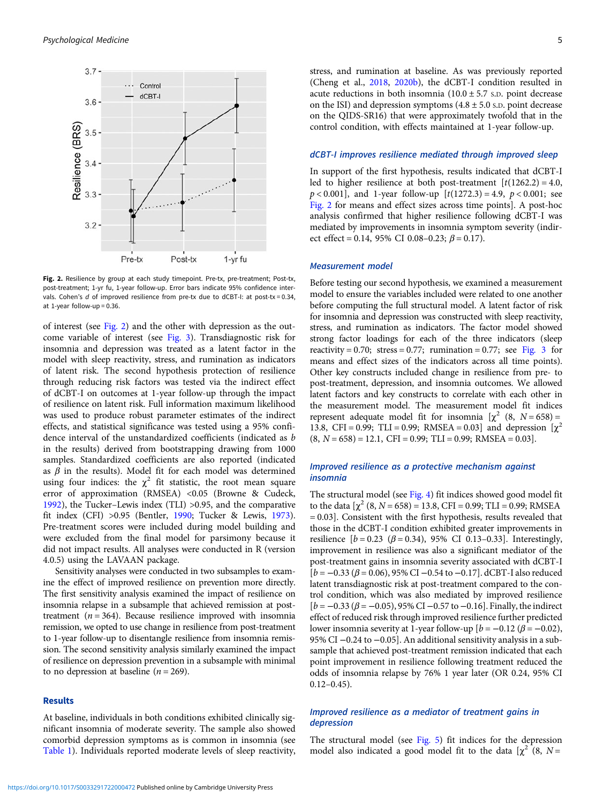

Fig. 2. Resilience by group at each study timepoint. Pre-tx, pre-treatment; Post-tx, post-treatment; 1-yr fu, 1-year follow-up. Error bars indicate 95% confidence intervals. Cohen's  $d$  of improved resilience from pre-tx due to dCBT-I: at post-tx = 0.34, at 1-year follow-up = 0.36.

of interest (see Fig. 2) and the other with depression as the outcome variable of interest (see [Fig. 3](#page-7-0)). Transdiagnostic risk for insomnia and depression was treated as a latent factor in the model with sleep reactivity, stress, and rumination as indicators of latent risk. The second hypothesis protection of resilience through reducing risk factors was tested via the indirect effect of dCBT-I on outcomes at 1-year follow-up through the impact of resilience on latent risk. Full information maximum likelihood was used to produce robust parameter estimates of the indirect effects, and statistical significance was tested using a 95% confidence interval of the unstandardized coefficients (indicated as b in the results) derived from bootstrapping drawing from 1000 samples. Standardized coefficients are also reported (indicated as  $\beta$  in the results). Model fit for each model was determined using four indices: the  $\chi^2$  fit statistic, the root mean square error of approximation (RMSEA) <0.05 (Browne & Cudeck, [1992\)](#page-10-0), the Tucker–Lewis index (TLI) >0.95, and the comparative fit index (CFI) >0.95 (Bentler, [1990;](#page-9-0) Tucker & Lewis, [1973\)](#page-11-0). Pre-treatment scores were included during model building and were excluded from the final model for parsimony because it did not impact results. All analyses were conducted in R (version 4.0.5) using the LAVAAN package.

Sensitivity analyses were conducted in two subsamples to examine the effect of improved resilience on prevention more directly. The first sensitivity analysis examined the impact of resilience on insomnia relapse in a subsample that achieved remission at posttreatment ( $n = 364$ ). Because resilience improved with insomnia remission, we opted to use change in resilience from post-treatment to 1-year follow-up to disentangle resilience from insomnia remission. The second sensitivity analysis similarly examined the impact of resilience on depression prevention in a subsample with minimal to no depression at baseline ( $n = 269$ ).

#### Results

At baseline, individuals in both conditions exhibited clinically significant insomnia of moderate severity. The sample also showed comorbid depression symptoms as is common in insomnia (see [Table 1](#page-7-0)). Individuals reported moderate levels of sleep reactivity, stress, and rumination at baseline. As was previously reported (Cheng et al., [2018](#page-10-0), [2020b\)](#page-10-0), the dCBT-I condition resulted in acute reductions in both insomnia  $(10.0 \pm 5.7 \text{ s.D.})$  point decrease on the ISI) and depression symptoms  $(4.8 \pm 5.0 \text{ s.D.})$  point decrease on the QIDS-SR16) that were approximately twofold that in the control condition, with effects maintained at 1-year follow-up.

#### dCBT-I improves resilience mediated through improved sleep

In support of the first hypothesis, results indicated that dCBT-I led to higher resilience at both post-treatment  $[t(1262.2) = 4.0,$  $p < 0.001$ , and 1-year follow-up  $[t(1272.3) = 4.9, p < 0.001;$  see Fig. 2 for means and effect sizes across time points]. A post-hoc analysis confirmed that higher resilience following dCBT-I was mediated by improvements in insomnia symptom severity (indirect effect = 0.14, 95% CI 0.08-0.23;  $\beta$  = 0.17).

#### Measurement model

Before testing our second hypothesis, we examined a measurement model to ensure the variables included were related to one another before computing the full structural model. A latent factor of risk for insomnia and depression was constructed with sleep reactivity, stress, and rumination as indicators. The factor model showed strong factor loadings for each of the three indicators (sleep reactivity = 0.70; stress = 0.77; rumination = 0.77; see [Fig. 3](#page-7-0) for means and effect sizes of the indicators across all time points). Other key constructs included change in resilience from pre- to post-treatment, depression, and insomnia outcomes. We allowed latent factors and key constructs to correlate with each other in the measurement model. The measurement model fit indices represent adequate model fit for insomnia  $[\chi^2 (8, N = 658)] =$ 13.8, CFI = 0.99; TLI = 0.99; RMSEA = 0.03] and depression  $[\chi^2$  $(8, N = 658) = 12.1$ , CFI = 0.99; TLI = 0.99; RMSEA = 0.03].

#### Improved resilience as a protective mechanism against insomnia

The structural model (see [Fig. 4](#page-8-0)) fit indices showed good model fit to the data  $[\chi^2 (8, N = 658) = 13.8, CFI = 0.99; TLI = 0.99; RMSEA$ = 0.03]. Consistent with the first hypothesis, results revealed that those in the dCBT-I condition exhibited greater improvements in resilience  $[b = 0.23 \ (\beta = 0.34), 95\% \ \text{CI} \ 0.13-0.33]$ . Interestingly, improvement in resilience was also a significant mediator of the post-treatment gains in insomnia severity associated with dCBT-I  $[b = -0.33 (\beta = 0.06), 95\% \text{ CI} -0.54 \text{ to } -0.17]$ . dCBT-I also reduced latent transdiagnostic risk at post-treatment compared to the control condition, which was also mediated by improved resilience  $[b = -0.33 (β = -0.05), 95\% \text{ CI} -0.57 \text{ to } -0.16]$ . Finally, the indirect effect of reduced risk through improved resilience further predicted lower insomnia severity at 1-year follow-up  $[b = -0.12 (\beta = -0.02)]$ , 95% CI −0.24 to −0.05]. An additional sensitivity analysis in a subsample that achieved post-treatment remission indicated that each point improvement in resilience following treatment reduced the odds of insomnia relapse by 76% 1 year later (OR 0.24, 95% CI 0.12–0.45).

#### Improved resilience as a mediator of treatment gains in depression

The structural model (see [Fig. 5](#page-8-0)) fit indices for the depression model also indicated a good model fit to the data  $[\chi^2$  (8, N =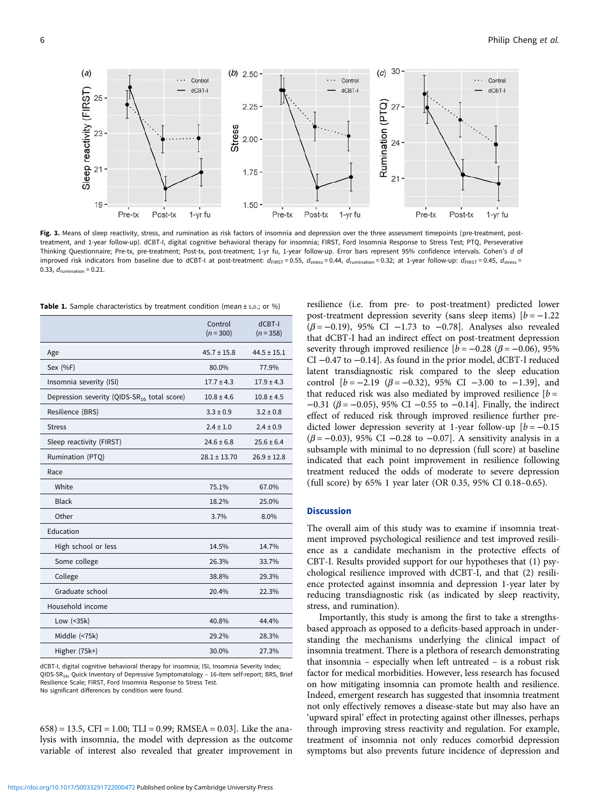<span id="page-7-0"></span>

Fig. 3. Means of sleep reactivity, stress, and rumination as risk factors of insomnia and depression over the three assessment timepoints (pre-treatment, posttreatment, and 1-year follow-up). dCBT-I, digital cognitive behavioral therapy for insomnia; FIRST, Ford Insomnia Response to Stress Test; PTQ, Perseverative Thinking Questionnaire; Pre-tx, pre-treatment; Post-tx, post-treatment; 1-yr fu, 1-year follow-up. Error bars represent 95% confidence intervals. Cohen's d of improved risk indicators from baseline due to dCBT-I at post-treatment:  $d_{\text{FIRST}} = 0.55$ ,  $d_{\text{stress}} = 0.44$ ,  $d_{\text{unination}} = 0.32$ ; at 1-year follow-up:  $d_{\text{FIRST}} = 0.45$ ,  $d_{\text{stress}} = 0.45$ ,  $d_{\text{stress}} = 0.45$ ,  $d_{\text{stress}} = 0.45$ ,  $d_{\$ 0.33,  $d_{\text{rumination}} = 0.21$ .

**Table 1.** Sample characteristics by treatment condition (mean  $\pm$  s.p.: or %)

|                                                         | Control<br>$(n = 300)$ | dCBT-I<br>$(n = 358)$ |
|---------------------------------------------------------|------------------------|-----------------------|
| Age                                                     | $45.7 \pm 15.8$        | $44.5 \pm 15.1$       |
| Sex (%F)                                                | 80.0%                  | 77.9%                 |
| Insomnia severity (ISI)                                 | $17.7 \pm 4.3$         | $17.9 \pm 4.3$        |
| Depression severity (QIDS-SR <sub>16</sub> total score) | $10.8 \pm 4.6$         | $10.8 \pm 4.5$        |
| Resilience (BRS)                                        | $3.3 \pm 0.9$          | $3.2 \pm 0.8$         |
| <b>Stress</b>                                           | $2.4 \pm 1.0$          | $2.4 \pm 0.9$         |
| Sleep reactivity (FIRST)                                | $24.6 \pm 6.8$         | $25.6 \pm 6.4$        |
| Rumination (PTQ)                                        | $28.1 \pm 13.70$       | $26.9 \pm 12.8$       |
| Race                                                    |                        |                       |
| White                                                   | 75.1%                  | 67.0%                 |
| <b>Black</b>                                            | 18.2%                  | 25.0%                 |
| Other                                                   | 3.7%                   | 8.0%                  |
| Education                                               |                        |                       |
| High school or less                                     | 14.5%                  | 14.7%                 |
| Some college                                            | 26.3%                  | 33.7%                 |
| College                                                 | 38.8%                  | 29.3%                 |
| Graduate school                                         | 20.4%                  | 22.3%                 |
| Household income                                        |                        |                       |
| Low (<35k)                                              | 40.8%                  | 44.4%                 |
| Middle (<75k)                                           | 29.2%                  | 28.3%                 |
| Higher (75k+)                                           | 30.0%                  | 27.3%                 |

dCBT-I, digital cognitive behavioral therapy for insomnia; ISI, Insomnia Severity Index; QIDS-SR<sub>16</sub>, Quick Inventory of Depressive Symptomatology - 16-item self-report; BRS, Brief Resilience Scale; FIRST, Ford Insomnia Response to Stress Test. No significant differences by condition were found.

 $(658) = 13.5$ , CFI = 1.00; TLI = 0.99; RMSEA = 0.03]. Like the analysis with insomnia, the model with depression as the outcome variable of interest also revealed that greater improvement in resilience (i.e. from pre- to post-treatment) predicted lower post-treatment depression severity (sans sleep items)  $[b = -1.22]$  $(\beta = -0.19)$ , 95% CI −1.73 to −0.78]. Analyses also revealed that dCBT-I had an indirect effect on post-treatment depression severity through improved resilience  $[b = -0.28 \ (\beta = -0.06), 95\%$ CI −0.47 to −0.14]. As found in the prior model, dCBT-I reduced latent transdiagnostic risk compared to the sleep education control  $[b = -2.19 \ (\beta = -0.32), 95\% \ \text{CI} \ -3.00 \ \text{to} \ -1.39], \text{and}$ that reduced risk was also mediated by improved resilience  $[b =$ −0.31 ( $\beta$  = −0.05), 95% CI −0.55 to −0.14]. Finally, the indirect effect of reduced risk through improved resilience further predicted lower depression severity at 1-year follow-up  $[b = -0.15]$  $(\beta = -0.03)$ , 95% CI -0.28 to -0.07]. A sensitivity analysis in a subsample with minimal to no depression (full score) at baseline indicated that each point improvement in resilience following treatment reduced the odds of moderate to severe depression (full score) by 65% 1 year later (OR 0.35, 95% CI 0.18–0.65).

#### **Discussion**

The overall aim of this study was to examine if insomnia treatment improved psychological resilience and test improved resilience as a candidate mechanism in the protective effects of CBT-I. Results provided support for our hypotheses that (1) psychological resilience improved with dCBT-I, and that (2) resilience protected against insomnia and depression 1-year later by reducing transdiagnostic risk (as indicated by sleep reactivity, stress, and rumination).

Importantly, this study is among the first to take a strengthsbased approach as opposed to a deficits-based approach in understanding the mechanisms underlying the clinical impact of insomnia treatment. There is a plethora of research demonstrating that insomnia – especially when left untreated – is a robust risk factor for medical morbidities. However, less research has focused on how mitigating insomnia can promote health and resilience. Indeed, emergent research has suggested that insomnia treatment not only effectively removes a disease-state but may also have an 'upward spiral' effect in protecting against other illnesses, perhaps through improving stress reactivity and regulation. For example, treatment of insomnia not only reduces comorbid depression symptoms but also prevents future incidence of depression and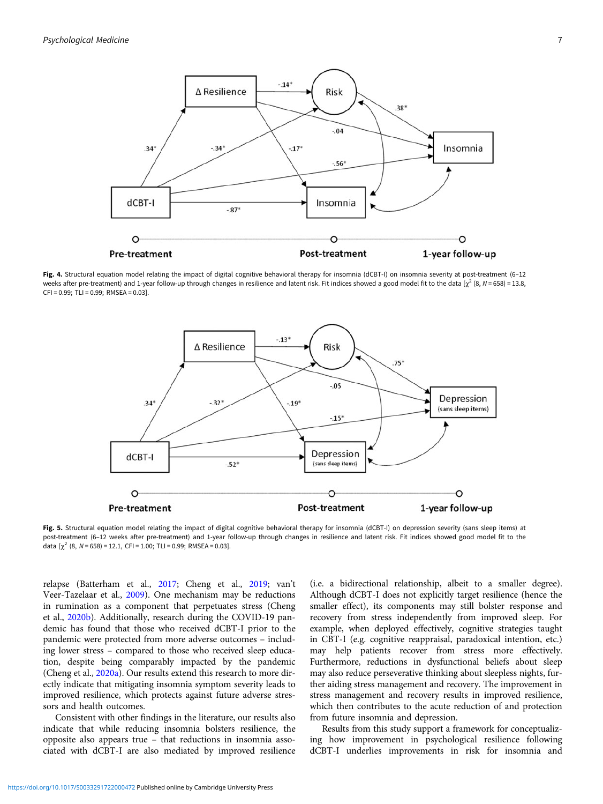<span id="page-8-0"></span>

Fig. 4. Structural equation model relating the impact of digital cognitive behavioral therapy for insomnia (dCBT-I) on insomnia severity at post-treatment (6-12 weeks after pre-treatment) and 1-year follow-up through changes in resilience and latent risk. Fit indices showed a good model fit to the data [ $\chi^2$  (8, N = 658) = 13.8,  $CFI = 0.99$ : TLI = 0.99; RMSEA = 0.03].



Fig. 5. Structural equation model relating the impact of digital cognitive behavioral therapy for insomnia (dCBT-I) on depression severity (sans sleep items) at post-treatment (6–12 weeks after pre-treatment) and 1-year follow-up through changes in resilience and latent risk. Fit indices showed good model fit to the data  $[\chi^2$  (8, N = 658) = 12.1, CFI = 1.00; TLI = 0.99; RMSEA = 0.03].

relapse (Batterham et al., [2017;](#page-9-0) Cheng et al., [2019](#page-10-0); van't Veer-Tazelaar et al., [2009\)](#page-11-0). One mechanism may be reductions in rumination as a component that perpetuates stress (Cheng et al., [2020b\)](#page-10-0). Additionally, research during the COVID-19 pandemic has found that those who received dCBT-I prior to the pandemic were protected from more adverse outcomes – including lower stress – compared to those who received sleep education, despite being comparably impacted by the pandemic (Cheng et al., [2020a](#page-10-0)). Our results extend this research to more directly indicate that mitigating insomnia symptom severity leads to improved resilience, which protects against future adverse stressors and health outcomes.

Consistent with other findings in the literature, our results also indicate that while reducing insomnia bolsters resilience, the opposite also appears true – that reductions in insomnia associated with dCBT-I are also mediated by improved resilience

(i.e. a bidirectional relationship, albeit to a smaller degree). Although dCBT-I does not explicitly target resilience (hence the smaller effect), its components may still bolster response and recovery from stress independently from improved sleep. For example, when deployed effectively, cognitive strategies taught in CBT-I (e.g. cognitive reappraisal, paradoxical intention, etc.) may help patients recover from stress more effectively. Furthermore, reductions in dysfunctional beliefs about sleep may also reduce perseverative thinking about sleepless nights, further aiding stress management and recovery. The improvement in stress management and recovery results in improved resilience, which then contributes to the acute reduction of and protection from future insomnia and depression.

Results from this study support a framework for conceptualizing how improvement in psychological resilience following dCBT-I underlies improvements in risk for insomnia and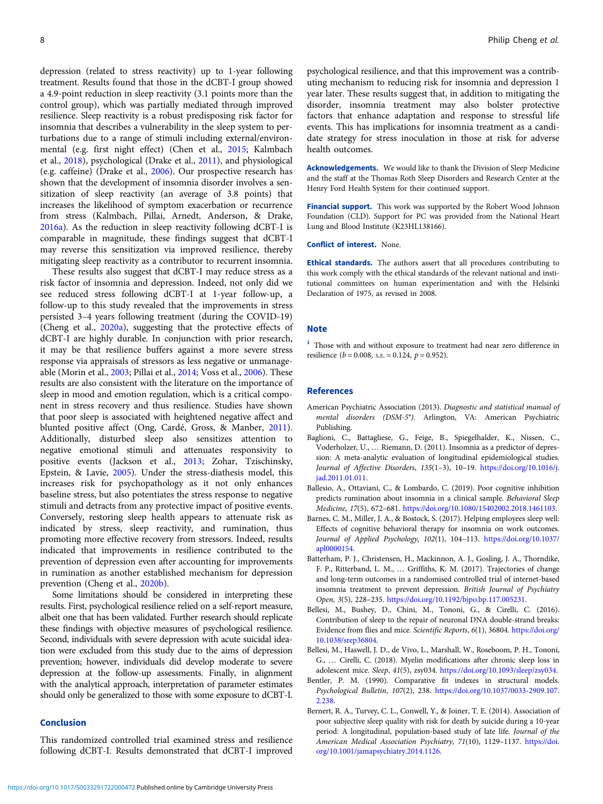<span id="page-9-0"></span>depression (related to stress reactivity) up to 1-year following treatment. Results found that those in the dCBT-I group showed a 4.9-point reduction in sleep reactivity (3.1 points more than the control group), which was partially mediated through improved resilience. Sleep reactivity is a robust predisposing risk factor for insomnia that describes a vulnerability in the sleep system to perturbations due to a range of stimuli including external/environmental (e.g. first night effect) (Chen et al., [2015](#page-10-0); Kalmbach et al., [2018](#page-10-0)), psychological (Drake et al., [2011](#page-10-0)), and physiological (e.g. caffeine) (Drake et al., [2006](#page-10-0)). Our prospective research has shown that the development of insomnia disorder involves a sensitization of sleep reactivity (an average of 3.8 points) that increases the likelihood of symptom exacerbation or recurrence from stress (Kalmbach, Pillai, Arnedt, Anderson, & Drake, [2016a](#page-11-0)). As the reduction in sleep reactivity following dCBT-I is comparable in magnitude, these findings suggest that dCBT-I may reverse this sensitization via improved resilience, thereby mitigating sleep reactivity as a contributor to recurrent insomnia.

These results also suggest that dCBT-I may reduce stress as a risk factor of insomnia and depression. Indeed, not only did we see reduced stress following dCBT-I at 1-year follow-up, a follow-up to this study revealed that the improvements in stress persisted 3–4 years following treatment (during the COVID-19) (Cheng et al., [2020a\)](#page-10-0), suggesting that the protective effects of dCBT-I are highly durable. In conjunction with prior research, it may be that resilience buffers against a more severe stress response via appraisals of stressors as less negative or unmanageable (Morin et al., [2003;](#page-11-0) Pillai et al., [2014;](#page-11-0) Voss et al., [2006](#page-12-0)). These results are also consistent with the literature on the importance of sleep in mood and emotion regulation, which is a critical component in stress recovery and thus resilience. Studies have shown that poor sleep is associated with heightened negative affect and blunted positive affect (Ong, Cardé, Gross, & Manber, [2011\)](#page-11-0). Additionally, disturbed sleep also sensitizes attention to negative emotional stimuli and attenuates responsivity to positive events (Jackson et al., [2013;](#page-10-0) Zohar, Tzischinsky, Epstein, & Lavie, [2005\)](#page-12-0). Under the stress-diathesis model, this increases risk for psychopathology as it not only enhances baseline stress, but also potentiates the stress response to negative stimuli and detracts from any protective impact of positive events. Conversely, restoring sleep health appears to attenuate risk as indicated by stress, sleep reactivity, and rumination, thus promoting more effective recovery from stressors. Indeed, results indicated that improvements in resilience contributed to the prevention of depression even after accounting for improvements in rumination as another established mechanism for depression prevention (Cheng et al., [2020b\)](#page-10-0).

Some limitations should be considered in interpreting these results. First, psychological resilience relied on a self-report measure, albeit one that has been validated. Further research should replicate these findings with objective measures of psychological resilience. Second, individuals with severe depression with acute suicidal ideation were excluded from this study due to the aims of depression prevention; however, individuals did develop moderate to severe depression at the follow-up assessments. Finally, in alignment with the analytical approach, interpretation of parameter estimates should only be generalized to those with some exposure to dCBT-I.

#### Conclusion

This randomized controlled trial examined stress and resilience following dCBT-I. Results demonstrated that dCBT-I improved psychological resilience, and that this improvement was a contributing mechanism to reducing risk for insomnia and depression 1 year later. These results suggest that, in addition to mitigating the disorder, insomnia treatment may also bolster protective factors that enhance adaptation and response to stressful life events. This has implications for insomnia treatment as a candidate strategy for stress inoculation in those at risk for adverse health outcomes.

Acknowledgements. We would like to thank the Division of Sleep Medicine and the staff at the Thomas Roth Sleep Disorders and Research Center at the Henry Ford Health System for their continued support.

Financial support. This work was supported by the Robert Wood Johnson Foundation (CLD). Support for PC was provided from the National Heart Lung and Blood Institute (K23HL138166).

Conflict of interest. None.

Ethical standards. The authors assert that all procedures contributing to this work comply with the ethical standards of the relevant national and institutional committees on human experimentation and with the Helsinki Declaration of 1975, as revised in 2008.

#### **Note**

<sup>1</sup> Those with and without exposure to treatment had near zero difference in resilience ( $b = 0.008$ , s.e.  $= 0.124$ ,  $p = 0.952$ ).

#### References

- American Psychiatric Association (2013). Diagnostic and statistical manual of mental disorders (DSM-5®). Arlington, VA: American Psychiatric Publishing.
- Baglioni, C., Battagliese, G., Feige, B., Spiegelhalder, K., Nissen, C., Voderholzer, U., … Riemann, D. (2011). Insomnia as a predictor of depression: A meta-analytic evaluation of longitudinal epidemiological studies. Journal of Affective Disorders, 135(1–3), 10–19. [https://doi.org/10.1016/j.](https://doi.org/10.1016/j.jad.2011.01.011) [jad.2011.01.011.](https://doi.org/10.1016/j.jad.2011.01.011)
- Ballesio, A., Ottaviani, C., & Lombardo, C. (2019). Poor cognitive inhibition predicts rumination about insomnia in a clinical sample. Behavioral Sleep Medicine, 17(5), 672–681. [https://doi.org/10.1080/15402002.2018.1461103.](https://doi.org/10.1080/15402002.2018.1461103)
- Barnes, C. M., Miller, J. A., & Bostock, S. (2017). Helping employees sleep well: Effects of cognitive behavioral therapy for insomnia on work outcomes. Journal of Applied Psychology, 102(1), 104–113. [https://doi.org/10.1037/](https://doi.org/10.1037/apl0000154) [apl0000154.](https://doi.org/10.1037/apl0000154)
- Batterham, P. J., Christensen, H., Mackinnon, A. J., Gosling, J. A., Thorndike, F. P., Ritterband, L. M., … Griffiths, K. M. (2017). Trajectories of change and long-term outcomes in a randomised controlled trial of internet-based insomnia treatment to prevent depression. British Journal of Psychiatry Open, 3(5), 228–235. [https://doi.org/10.1192/bjpo.bp.117.005231.](https://doi.org/10.1192/bjpo.bp.117.005231)
- Bellesi, M., Bushey, D., Chini, M., Tononi, G., & Cirelli, C. (2016). Contribution of sleep to the repair of neuronal DNA double-strand breaks: Evidence from flies and mice. Scientific Reports, 6(1), 36804. [https://doi.org/](https://doi.org/10.1038/srep36804) [10.1038/srep36804.](https://doi.org/10.1038/srep36804)
- Bellesi, M., Haswell, J. D., de Vivo, L., Marshall, W., Roseboom, P. H., Tononi, G., … Cirelli, C. (2018). Myelin modifications after chronic sleep loss in adolescent mice. Sleep, 41(5), zsy034. [https://doi.org/10.1093/sleep/zsy034.](https://doi.org/10.1093/sleep/zsy034)
- Bentler, P. M. (1990). Comparative fit indexes in structural models. Psychological Bulletin, 107(2), 238. [https://doi.org/10.1037/0033-2909.107.](https://doi.org/10.1037/0033-2909.107.2.238) [2.238](https://doi.org/10.1037/0033-2909.107.2.238).
- Bernert, R. A., Turvey, C. L., Conwell, Y., & Joiner, T. E. (2014). Association of poor subjective sleep quality with risk for death by suicide during a 10-year period: A longitudinal, population-based study of late life. Journal of the American Medical Association Psychiatry, 71(10), 1129–1137. [https://doi.](https://doi.org/10.1001/jamapsychiatry.2014.1126) [org/10.1001/jamapsychiatry.2014.1126](https://doi.org/10.1001/jamapsychiatry.2014.1126).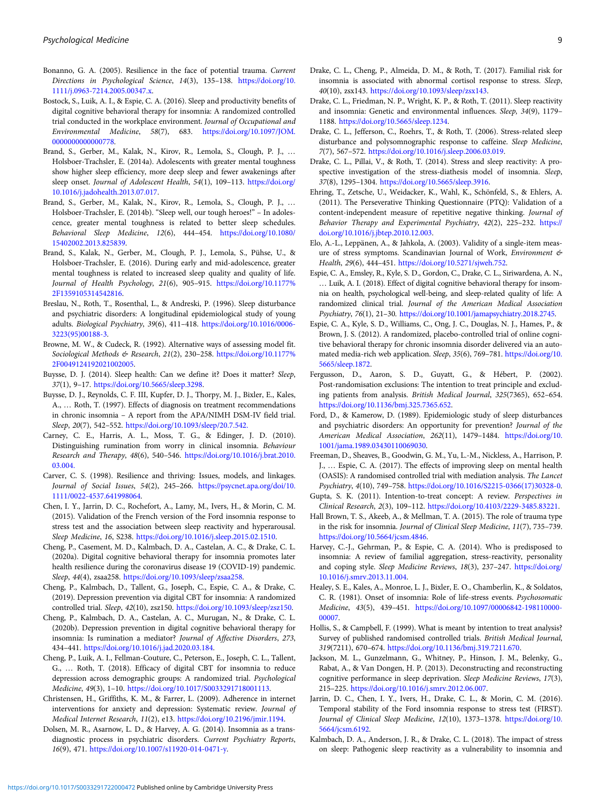- <span id="page-10-0"></span>Bonanno, G. A. (2005). Resilience in the face of potential trauma. Current Directions in Psychological Science, 14(3), 135–138. [https://doi.org/10.](https://doi.org/10.1111/j.0963-7214.2005.00347.x) [1111/j.0963-7214.2005.00347.x.](https://doi.org/10.1111/j.0963-7214.2005.00347.x)
- Bostock, S., Luik, A. I., & Espie, C. A. (2016). Sleep and productivity benefits of digital cognitive behavioral therapy for insomnia: A randomized controlled trial conducted in the workplace environment. Journal of Occupational and Environmental Medicine, 58(7), 683. [https://doi.org/10.1097/JOM.](https://doi.org/10.1097/JOM.0000000000000778) [0000000000000778.](https://doi.org/10.1097/JOM.0000000000000778)
- Brand, S., Gerber, M., Kalak, N., Kirov, R., Lemola, S., Clough, P. J., … Holsboer-Trachsler, E. (2014a). Adolescents with greater mental toughness show higher sleep efficiency, more deep sleep and fewer awakenings after sleep onset. Journal of Adolescent Health, 54(1), 109-113. [https://doi.org/](https://doi.org/10.1016/j.jadohealth.2013.07.017) [10.1016/j.jadohealth.2013.07.017](https://doi.org/10.1016/j.jadohealth.2013.07.017).
- Brand, S., Gerber, M., Kalak, N., Kirov, R., Lemola, S., Clough, P. J., … Holsboer-Trachsler, E. (2014b). "Sleep well, our tough heroes!" – In adolescence, greater mental toughness is related to better sleep schedules. Behavioral Sleep Medicine, 12(6), 444–454. [https://doi.org/10.1080/](https://doi.org/10.1080/15402002.2013.825839) [15402002.2013.825839.](https://doi.org/10.1080/15402002.2013.825839)
- Brand, S., Kalak, N., Gerber, M., Clough, P. J., Lemola, S., Pühse, U., & Holsboer-Trachsler, E. (2016). During early and mid-adolescence, greater mental toughness is related to increased sleep quality and quality of life. Journal of Health Psychology, 21(6), 905-915. [https://doi.org/10.1177%](https://doi.org/10.1177%2F1359105314542816) [2F1359105314542816.](https://doi.org/10.1177%2F1359105314542816)
- Breslau, N., Roth, T., Rosenthal, L., & Andreski, P. (1996). Sleep disturbance and psychiatric disorders: A longitudinal epidemiological study of young adults. Biological Psychiatry, 39(6), 411–418. [https://doi.org/10.1016/0006-](https://doi.org/10.1016/0006-3223(95)00188-3) [3223\(95\)00188-3.](https://doi.org/10.1016/0006-3223(95)00188-3)
- Browne, M. W., & Cudeck, R. (1992). Alternative ways of assessing model fit. Sociological Methods & Research, 21(2), 230-258. [https://doi.org/10.1177%](https://doi.org/10.1177%2F0049124192021002005) [2F0049124192021002005](https://doi.org/10.1177%2F0049124192021002005).
- Buysse, D. J. (2014). Sleep health: Can we define it? Does it matter? Sleep, 37(1), 9–17. [https://doi.org/10.5665/sleep.3298.](https://doi.org/10.5665/sleep.3298)
- Buysse, D. J., Reynolds, C. F. III, Kupfer, D. J., Thorpy, M. J., Bixler, E., Kales, A., … Roth, T. (1997). Effects of diagnosis on treatment recommendations in chronic insomnia – A report from the APA/NIMH DSM-IV field trial. Sleep, 20(7), 542–552. <https://doi.org/10.1093/sleep/20.7.542.>
- Carney, C. E., Harris, A. L., Moss, T. G., & Edinger, J. D. (2010). Distinguishing rumination from worry in clinical insomnia. Behaviour Research and Therapy, 48(6), 540–546. [https://doi.org/10.1016/j.brat.2010.](https://doi.org/10.1016/j.brat.2010.03.004.) [03.004.](https://doi.org/10.1016/j.brat.2010.03.004.)
- Carver, C. S. (1998). Resilience and thriving: Issues, models, and linkages. Journal of Social Issues, 54(2), 245–266. [https://psycnet.apa.org/doi/10.](https://psycnet.apa.org/doi/10.1111/0022-4537.641998064) [1111/0022-4537.641998064.](https://psycnet.apa.org/doi/10.1111/0022-4537.641998064)
- Chen, I. Y., Jarrin, D. C., Rochefort, A., Lamy, M., Ivers, H., & Morin, C. M. (2015). Validation of the French version of the Ford insomnia response to stress test and the association between sleep reactivity and hyperarousal. Sleep Medicine, 16, S238. <https://doi.org/10.1016/j.sleep.2015.02.1510>.
- Cheng, P., Casement, M. D., Kalmbach, D. A., Castelan, A. C., & Drake, C. L. (2020a). Digital cognitive behavioral therapy for insomnia promotes later health resilience during the coronavirus disease 19 (COVID-19) pandemic. Sleep, 44(4), zsaa258. <https://doi.org/10.1093/sleep/zsaa258>.
- Cheng, P., Kalmbach, D., Tallent, G., Joseph, C., Espie, C. A., & Drake, C. (2019). Depression prevention via digital CBT for insomnia: A randomized controlled trial. Sleep, 42(10), zsz150. <https://doi.org/10.1093/sleep/zsz150>.
- Cheng, P., Kalmbach, D. A., Castelan, A. C., Murugan, N., & Drake, C. L. (2020b). Depression prevention in digital cognitive behavioral therapy for insomnia: Is rumination a mediator? Journal of Affective Disorders, 273, 434–441. <https://doi.org/10.1016/j.jad.2020.03.184>.
- Cheng, P., Luik, A. I., Fellman-Couture, C., Peterson, E., Joseph, C. L., Tallent, G., … Roth, T. (2018). Efficacy of digital CBT for insomnia to reduce depression across demographic groups: A randomized trial. Psychological Medicine, 49(3), 1–10. <https://doi.org/10.1017/S0033291718001113>.
- Christensen, H., Griffiths, K. M., & Farrer, L. (2009). Adherence in internet interventions for anxiety and depression: Systematic review. Journal of Medical Internet Research, 11(2), e13. <https://doi.org/10.2196/jmir.1194>.
- Dolsen, M. R., Asarnow, L. D., & Harvey, A. G. (2014). Insomnia as a transdiagnostic process in psychiatric disorders. Current Psychiatry Reports, 16(9), 471. [https://doi.org/10.1007/s11920-014-0471-y.](https://doi.org/10.1007/s11920-014-0471-y)
- Drake, C. L., Cheng, P., Almeida, D. M., & Roth, T. (2017). Familial risk for insomnia is associated with abnormal cortisol response to stress. Sleep, 40(10), zsx143. <https://doi.org/10.1093/sleep/zsx143>.
- Drake, C. L., Friedman, N. P., Wright, K. P., & Roth, T. (2011). Sleep reactivity and insomnia: Genetic and environmental influences. Sleep, 34(9), 1179– 1188. <https://doi.org/10.5665/sleep.1234>.
- Drake, C. L., Jefferson, C., Roehrs, T., & Roth, T. (2006). Stress-related sleep disturbance and polysomnographic response to caffeine. Sleep Medicine, 7(7), 567–572. [https://doi.org/10.1016/j.sleep.2006.03.019.](https://doi.org/10.1016/j.sleep.2006.03.019)
- Drake, C. L., Pillai, V., & Roth, T. (2014). Stress and sleep reactivity: A prospective investigation of the stress-diathesis model of insomnia. Sleep, 37(8), 1295–1304. [https://doi.org/10.5665/sleep.3916.](https://doi.org/10.5665/sleep.3916)
- Ehring, T., Zetsche, U., Weidacker, K., Wahl, K., Schönfeld, S., & Ehlers, A. (2011). The Perseverative Thinking Questionnaire (PTQ): Validation of a content-independent measure of repetitive negative thinking. Journal of Behavior Therapy and Experimental Psychiatry, 42(2), 225–232. [https://](https://doi.org/10.1016/j.jbtep.2010.12.003) [doi.org/10.1016/j.jbtep.2010.12.003.](https://doi.org/10.1016/j.jbtep.2010.12.003)
- Elo, A.-L., Leppänen, A., & Jahkola, A. (2003). Validity of a single-item measure of stress symptoms. Scandinavian Journal of Work, Environment & Health, 29(6), 444–451. [https://doi.org/10.5271/sjweh.752.](https://doi.org/10.5271/sjweh.752)
- Espie, C. A., Emsley, R., Kyle, S. D., Gordon, C., Drake, C. L., Siriwardena, A. N., … Luik, A. I. (2018). Effect of digital cognitive behavioral therapy for insomnia on health, psychological well-being, and sleep-related quality of life: A randomized clinical trial. Journal of the American Medical Association Psychiatry, 76(1), 21–30. [https://doi.org/10.1001/jamapsychiatry.2018.2745.](https://doi.org/10.1001/jamapsychiatry.2018.2745)
- Espie, C. A., Kyle, S. D., Williams, C., Ong, J. C., Douglas, N. J., Hames, P., & Brown, J. S. (2012). A randomized, placebo-controlled trial of online cognitive behavioral therapy for chronic insomnia disorder delivered via an automated media-rich web application. Sleep, 35(6), 769–781. [https://doi.org/10.](https://doi.org/10.5665/sleep.1872) [5665/sleep.1872.](https://doi.org/10.5665/sleep.1872)
- Fergusson, D., Aaron, S. D., Guyatt, G., & Hébert, P. (2002). Post-randomisation exclusions: The intention to treat principle and excluding patients from analysis. British Medical Journal, 325(7365), 652–654. [https://doi.org/10.1136/bmj.325.7365.652.](https://doi.org/10.1136/bmj.325.7365.652)
- Ford, D., & Kamerow, D. (1989). Epidemiologic study of sleep disturbances and psychiatric disorders: An opportunity for prevention? Journal of the American Medical Association, 262(11), 1479-1484. [https://doi.org/10.](https://doi.org/10.1001/jama.1989.03430110069030) [1001/jama.1989.03430110069030.](https://doi.org/10.1001/jama.1989.03430110069030)
- Freeman, D., Sheaves, B., Goodwin, G. M., Yu, L.-M., Nickless, A., Harrison, P. J., … Espie, C. A. (2017). The effects of improving sleep on mental health (OASIS): A randomised controlled trial with mediation analysis. The Lancet Psychiatry, 4(10), 749–758. [https://doi.org/10.1016/S2215-0366\(17\)30328-0.](https://doi.org/10.1016/S2215-0366(17)30328-0)
- Gupta, S. K. (2011). Intention-to-treat concept: A review. Perspectives in Clinical Research, 2(3), 109–112. <https://doi.org/10.4103/2229-3485.83221>.
- Hall Brown, T. S., Akeeb, A., & Mellman, T. A. (2015). The role of trauma type in the risk for insomnia. Journal of Clinical Sleep Medicine, 11(7), 735–739. <https://doi.org/10.5664/jcsm.4846>.
- Harvey, C.-J., Gehrman, P., & Espie, C. A. (2014). Who is predisposed to insomnia: A review of familial aggregation, stress-reactivity, personality and coping style. Sleep Medicine Reviews, 18(3), 237–247. [https://doi.org/](https://doi.org/10.1016/j.smrv.2013.11.004) [10.1016/j.smrv.2013.11.004.](https://doi.org/10.1016/j.smrv.2013.11.004)
- Healey, S. E., Kales, A., Monroe, L. J., Bixler, E. O., Chamberlin, K., & Soldatos, C. R. (1981). Onset of insomnia: Role of life-stress events. Psychosomatic Medicine, 43(5), 439–451. [https://doi.org/10.1097/00006842-198110000-](https://doi.org/10.1097/00006842-198110000-00007) [00007](https://doi.org/10.1097/00006842-198110000-00007).
- Hollis, S., & Campbell, F. (1999). What is meant by intention to treat analysis? Survey of published randomised controlled trials. British Medical Journal, 319(7211), 670–674. <https://doi.org/10.1136/bmj.319.7211.670>.
- Jackson, M. L., Gunzelmann, G., Whitney, P., Hinson, J. M., Belenky, G., Rabat, A., & Van Dongen, H. P. (2013). Deconstructing and reconstructing cognitive performance in sleep deprivation. Sleep Medicine Reviews, 17(3), 215–225. <https://doi.org/10.1016/j.smrv.2012.06.007>.
- Jarrin, D. C., Chen, I. Y., Ivers, H., Drake, C. L., & Morin, C. M. (2016). Temporal stability of the Ford insomnia response to stress test (FIRST). Journal of Clinical Sleep Medicine, 12(10), 1373–1378. [https://doi.org/10.](https://doi.org/10.5664/jcsm.6192) [5664/jcsm.6192.](https://doi.org/10.5664/jcsm.6192)
- Kalmbach, D. A., Anderson, J. R., & Drake, C. L. (2018). The impact of stress on sleep: Pathogenic sleep reactivity as a vulnerability to insomnia and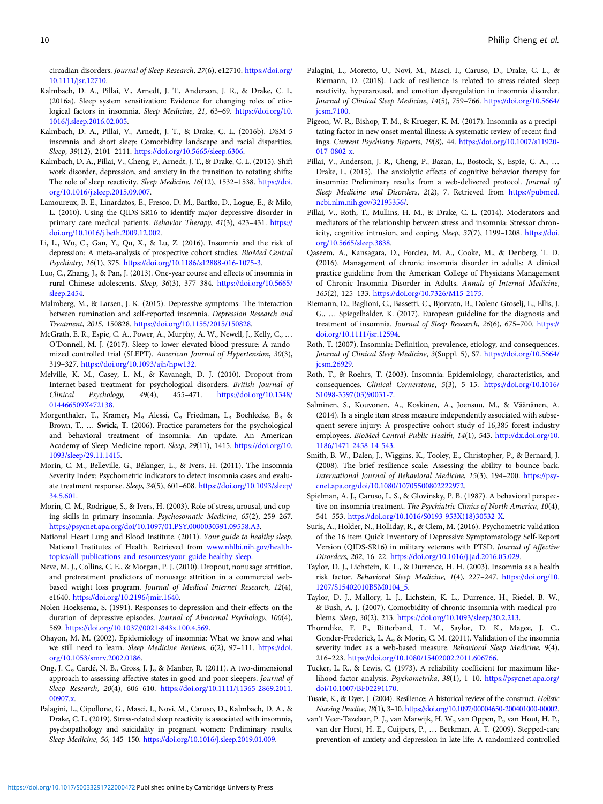<span id="page-11-0"></span>circadian disorders. Journal of Sleep Research, 27(6), e12710. [https://doi.org/](https://doi.org/10.1111/jsr.12710) [10.1111/jsr.12710.](https://doi.org/10.1111/jsr.12710)

- Kalmbach, D. A., Pillai, V., Arnedt, J. T., Anderson, J. R., & Drake, C. L. (2016a). Sleep system sensitization: Evidence for changing roles of etiological factors in insomnia. Sleep Medicine, 21, 63–69. [https://doi.org/10.](https://doi.org/10.1016/j.sleep.2016.02.005) [1016/j.sleep.2016.02.005.](https://doi.org/10.1016/j.sleep.2016.02.005)
- Kalmbach, D. A., Pillai, V., Arnedt, J. T., & Drake, C. L. (2016b). DSM-5 insomnia and short sleep: Comorbidity landscape and racial disparities. Sleep, 39(12), 2101–2111. <https://doi.org/10.5665/sleep.6306>.
- Kalmbach, D. A., Pillai, V., Cheng, P., Arnedt, J. T., & Drake, C. L. (2015). Shift work disorder, depression, and anxiety in the transition to rotating shifts: The role of sleep reactivity. Sleep Medicine, 16(12), 1532–1538. [https://doi.](https://doi.org/10.1016/j.sleep.2015.09.007) [org/10.1016/j.sleep.2015.09.007](https://doi.org/10.1016/j.sleep.2015.09.007).
- Lamoureux, B. E., Linardatos, E., Fresco, D. M., Bartko, D., Logue, E., & Milo, L. (2010). Using the QIDS-SR16 to identify major depressive disorder in primary care medical patients. Behavior Therapy, 41(3), 423–431. [https://](https://doi.org/10.1016/j.beth.2009.12.002) [doi.org/10.1016/j.beth.2009.12.002](https://doi.org/10.1016/j.beth.2009.12.002).
- Li, L., Wu, C., Gan, Y., Qu, X., & Lu, Z. (2016). Insomnia and the risk of depression: A meta-analysis of prospective cohort studies. BioMed Central Psychiatry, 16(1), 375. [https://doi.org/10.1186/s12888-016-1075-3.](https://doi.org/10.1186/s12888-016-1075-3)
- Luo, C., Zhang, J., & Pan, J. (2013). One-year course and effects of insomnia in rural Chinese adolescents. Sleep, 36(3), 377–384. [https://doi.org/10.5665/](https://doi.org/10.5665/sleep.2454) [sleep.2454](https://doi.org/10.5665/sleep.2454).
- Malmberg, M., & Larsen, J. K. (2015). Depressive symptoms: The interaction between rumination and self-reported insomnia. Depression Research and Treatment, 2015, 150828. [https://doi.org/10.1155/2015/150828.](https://doi.org/10.1155/2015/150828)
- McGrath, E. R., Espie, C. A., Power, A., Murphy, A. W., Newell, J., Kelly, C., … O'Donnell, M. J. (2017). Sleep to lower elevated blood pressure: A randomized controlled trial (SLEPT). American Journal of Hypertension, 30(3), 319–327. <https://doi.org/10.1093/ajh/hpw132>.
- Melville, K. M., Casey, L. M., & Kavanagh, D. J. (2010). Dropout from Internet-based treatment for psychological disorders. British Journal of Clinical Psychology, 49(4), 455–471. [https://doi.org/10.1348/](https://doi.org/10.1348/014466509X472138) [014466509X472138](https://doi.org/10.1348/014466509X472138).
- Morgenthaler, T., Kramer, M., Alessi, C., Friedman, L., Boehlecke, B., & Brown, T., … Swick, T. (2006). Practice parameters for the psychological and behavioral treatment of insomnia: An update. An American Academy of Sleep Medicine report. Sleep, 29(11), 1415. [https://doi.org/10.](https://doi.org/10.1093/sleep/29.11.1415) [1093/sleep/29.11.1415.](https://doi.org/10.1093/sleep/29.11.1415)
- Morin, C. M., Belleville, G., Bélanger, L., & Ivers, H. (2011). The Insomnia Severity Index: Psychometric indicators to detect insomnia cases and evaluate treatment response. Sleep, 34(5), 601–608. [https://doi.org/10.1093/sleep/](https://doi.org/10.1093/sleep/34.5.601) [34.5.601](https://doi.org/10.1093/sleep/34.5.601).
- Morin, C. M., Rodrigue, S., & Ivers, H. (2003). Role of stress, arousal, and coping skills in primary insomnia. Psychosomatic Medicine, 65(2), 259–267. [https://psycnet.apa.org/doi/10.1097/01.PSY.0000030391.09558.A3.](https://psycnet.apa.org/doi/10.1097/01.PSY.0000030391.09558.A3)
- National Heart Lung and Blood Institute. (2011). Your guide to healthy sleep. National Institutes of Health. Retrieved from [www.nhlbi.nih.gov/health](https://www.nhlbi.nih.gov/health-topics/all-publications-and-resources/your-guide-healthy-sleep)[topics/all-publications-and-resources/your-guide-healthy-sleep](https://www.nhlbi.nih.gov/health-topics/all-publications-and-resources/your-guide-healthy-sleep).
- Neve, M. J., Collins, C. E., & Morgan, P. J. (2010). Dropout, nonusage attrition, and pretreatment predictors of nonusage attrition in a commercial webbased weight loss program. Journal of Medical Internet Research, 12(4), e1640. [https://doi.org/10.2196/jmir.1640.](https://doi.org/10.2196/jmir.1640)
- Nolen-Hoeksema, S. (1991). Responses to depression and their effects on the duration of depressive episodes. Journal of Abnormal Psychology, 100(4), 569. <https://doi.org/10.1037//0021-843x.100.4.569>.
- Ohayon, M. M. (2002). Epidemiology of insomnia: What we know and what we still need to learn. Sleep Medicine Reviews, 6(2), 97–111. [https://doi.](https://doi.org/10.1053/smrv.2002.0186) [org/10.1053/smrv.2002.0186](https://doi.org/10.1053/smrv.2002.0186).
- Ong, J. C., Cardé, N. B., Gross, J. J., & Manber, R. (2011). A two-dimensional approach to assessing affective states in good and poor sleepers. Journal of Sleep Research, 20(4), 606–610. [https://doi.org/10.1111/j.1365-2869.2011.](https://doi.org/10.1111/j.1365-2869.2011.00907.x) [00907.x](https://doi.org/10.1111/j.1365-2869.2011.00907.x).
- Palagini, L., Cipollone, G., Masci, I., Novi, M., Caruso, D., Kalmbach, D. A., & Drake, C. L. (2019). Stress-related sleep reactivity is associated with insomnia, psychopathology and suicidality in pregnant women: Preliminary results. Sleep Medicine, 56, 145–150. [https://doi.org/10.1016/j.sleep.2019.01.009.](https://doi.org/10.1016/j.sleep.2019.01.009)
- Palagini, L., Moretto, U., Novi, M., Masci, I., Caruso, D., Drake, C. L., & Riemann, D. (2018). Lack of resilience is related to stress-related sleep reactivity, hyperarousal, and emotion dysregulation in insomnia disorder. Journal of Clinical Sleep Medicine, 14(5), 759–766. [https://doi.org/10.5664/](https://doi.org/10.5664/jcsm.7100) [jcsm.7100](https://doi.org/10.5664/jcsm.7100).
- Pigeon, W. R., Bishop, T. M., & Krueger, K. M. (2017). Insomnia as a precipitating factor in new onset mental illness: A systematic review of recent findings. Current Psychiatry Reports, 19(8), 44. [https://doi.org/10.1007/s11920-](https://doi.org/10.1007/s11920-017-0802-x) [017-0802-x](https://doi.org/10.1007/s11920-017-0802-x).
- Pillai, V., Anderson, J. R., Cheng, P., Bazan, L., Bostock, S., Espie, C. A., … Drake, L. (2015). The anxiolytic effects of cognitive behavior therapy for insomnia: Preliminary results from a web-delivered protocol. Journal of Sleep Medicine and Disorders, 2(2), 7. Retrieved from [https://pubmed.](https://pubmed.ncbi.nlm.nih.gov/32195356/) [ncbi.nlm.nih.gov/32195356/](https://pubmed.ncbi.nlm.nih.gov/32195356/).
- Pillai, V., Roth, T., Mullins, H. M., & Drake, C. L. (2014). Moderators and mediators of the relationship between stress and insomnia: Stressor chronicity, cognitive intrusion, and coping. Sleep, 37(7), 1199–1208. [https://doi.](https://doi.org/10.5665/sleep.3838) [org/10.5665/sleep.3838](https://doi.org/10.5665/sleep.3838).
- Qaseem, A., Kansagara, D., Forciea, M. A., Cooke, M., & Denberg, T. D. (2016). Management of chronic insomnia disorder in adults: A clinical practice guideline from the American College of Physicians Management of Chronic Insomnia Disorder in Adults. Annals of Internal Medicine, 165(2), 125–133. [https://doi.org/10.7326/M15-2175.](https://doi.org/10.7326/M15-2175)
- Riemann, D., Baglioni, C., Bassetti, C., Bjorvatn, B., Dolenc Groselj, L., Ellis, J. G., … Spiegelhalder, K. (2017). European guideline for the diagnosis and treatment of insomnia. Journal of Sleep Research, 26(6), 675–700. [https://](https://doi.org/10.1111/jsr.12594) [doi.org/10.1111/jsr.12594](https://doi.org/10.1111/jsr.12594).
- Roth, T. (2007). Insomnia: Definition, prevalence, etiology, and consequences. Journal of Clinical Sleep Medicine, 3(Suppl. 5), S7. [https://doi.org/10.5664/](https://doi.org/10.5664/jcsm.26929) [jcsm.26929.](https://doi.org/10.5664/jcsm.26929)
- Roth, T., & Roehrs, T. (2003). Insomnia: Epidemiology, characteristics, and consequences. Clinical Cornerstone, 5(3), 5–15. [https://doi.org/10.1016/](https://doi.org/10.1016/S1098-3597(03)90031-7.) [S1098-3597\(03\)90031-7.](https://doi.org/10.1016/S1098-3597(03)90031-7.)
- Salminen, S., Kouvonen, A., Koskinen, A., Joensuu, M., & Väänänen, A. (2014). Is a single item stress measure independently associated with subsequent severe injury: A prospective cohort study of 16,385 forest industry employees. BioMed Central Public Health, 14(1), 543. [http://dx.doi.org/10.](http://dx.doi.org/10.1186/1471-2458-14-543) [1186/1471-2458-14-543](http://dx.doi.org/10.1186/1471-2458-14-543).
- Smith, B. W., Dalen, J., Wiggins, K., Tooley, E., Christopher, P., & Bernard, J. (2008). The brief resilience scale: Assessing the ability to bounce back. International Journal of Behavioral Medicine, 15(3), 194–200. [https://psy](https://psycnet.apa.org/doi/10.1080/10705500802222972)[cnet.apa.org/doi/10.1080/10705500802222972](https://psycnet.apa.org/doi/10.1080/10705500802222972).
- Spielman, A. J., Caruso, L. S., & Glovinsky, P. B. (1987). A behavioral perspective on insomnia treatment. The Psychiatric Clinics of North America, 10(4), 541–553. [https://doi.org/10.1016/S0193-953X\(18\)30532-X.](https://doi.org/10.1016/S0193-953X(18)30532-X)
- Surís, A., Holder, N., Holliday, R., & Clem, M. (2016). Psychometric validation of the 16 item Quick Inventory of Depressive Symptomatology Self-Report Version (QIDS-SR16) in military veterans with PTSD. Journal of Affective Disorders, 202, 16–22. <https://doi.org/10.1016/j.jad.2016.05.029>.
- Taylor, D. J., Lichstein, K. L., & Durrence, H. H. (2003). Insomnia as a health risk factor. Behavioral Sleep Medicine, 1(4), 227–247. [https://doi.org/10.](https://doi.org/10.1207/S15402010BSM0104_5) [1207/S15402010BSM0104\\_5](https://doi.org/10.1207/S15402010BSM0104_5).
- Taylor, D. J., Mallory, L. J., Lichstein, K. L., Durrence, H., Riedel, B. W., & Bush, A. J. (2007). Comorbidity of chronic insomnia with medical problems. Sleep, 30(2), 213. [https://doi.org/10.1093/sleep/30.2.213.](https://doi.org/10.1093/sleep/30.2.213)
- Thorndike, F. P., Ritterband, L. M., Saylor, D. K., Magee, J. C., Gonder-Frederick, L. A., & Morin, C. M. (2011). Validation of the insomnia severity index as a web-based measure. Behavioral Sleep Medicine, 9(4), 216–223. [https://doi.org/10.1080/15402002.2011.606766.](https://doi.org/10.1080/15402002.2011.606766)
- Tucker, L. R., & Lewis, C. (1973). A reliability coefficient for maximum likelihood factor analysis. Psychometrika, 38(1), 1–10. [https://psycnet.apa.org/](https://psycnet.apa.org/doi/10.1007/BF02291170) [doi/10.1007/BF02291170.](https://psycnet.apa.org/doi/10.1007/BF02291170)
- Tusaie, K., & Dyer, J. (2004). Resilience: A historical review of the construct. Holistic Nursing Practice, 18(1), 3–10. [https://doi.org/10.1097/00004650-200401000-00002.](https://doi.org/10.1097/00004650-200401000-00002)
- van't Veer-Tazelaar, P. J., van Marwijk, H. W., van Oppen, P., van Hout, H. P., van der Horst, H. E., Cuijpers, P., … Beekman, A. T. (2009). Stepped-care prevention of anxiety and depression in late life: A randomized controlled